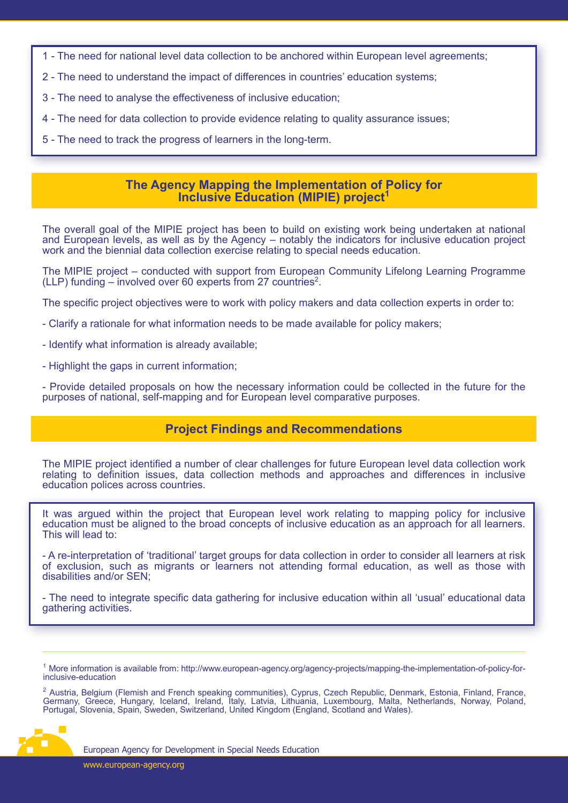- 1 The need for national level data collection to be anchored within European level agreements;
- 2 The need to understand the impact of differences in countries' education systems;
- 3 The need to analyse the effectiveness of inclusive education;
- 4 The need for data collection to provide evidence relating to quality assurance issues;
- 5 The need to track the progress of learners in the long-term.

### **The Agency Mapping the Implementation of Policy for Inclusive Education (MIPIE) project<sup>1</sup>**

The overall goal of the MIPIE project has been to build on existing work being undertaken at national and European levels, as well as by the Agency – notably the indicators for inclusive education project work and the biennial data collection exercise relating to special needs education.

The MIPIE project – conducted with support from European Community Lifelong Learning Programme (LLP) funding  $-$  involved over 60 experts from 27 countries<sup>2</sup>.

The specific project objectives were to work with policy makers and data collection experts in order to:

- Clarify a rationale for what information needs to be made available for policy makers;
- Identify what information is already available;
- Highlight the gaps in current information;

- Provide detailed proposals on how the necessary information could be collected in the future for the purposes of national, self-mapping and for European level comparative purposes.

# **Project Findings and Recommendations**

The MIPIE project identified a number of clear challenges for future European level data collection work relating to definition issues, data collection methods and approaches and differences in inclusive education polices across countries.

It was argued within the project that European level work relating to mapping policy for inclusive education must be aligned to the broad concepts of inclusive education as an approach for all learners. This will lead to:

- A re-interpretation of 'traditional' target groups for data collection in order to consider all learners at risk of exclusion, such as migrants or learners not attending formal education, as well as those with disabilities and/or SEN;

- The need to integrate specific data gathering for inclusive education within all 'usual' educational data gathering activities.

<sup>&</sup>lt;sup>2</sup> Austria, Belgium (Flemish and French speaking communities), Cyprus, Czech Republic, Denmark, Estonia, Finland, France, Germany, Greece, Hungary, Iceland, Ireland, Italy, Latvia, Lithuania, Luxembourg, Malta, Netherlands, Norway, Poland, Portugal, Slovenia, Spain, Sweden, Switzerland, United Kingdom (England, Scotland and Wales).



<sup>1</sup> More information is available from: http://www.european-agency.org/agency-projects/mapping-the-implementation-of-policy-forinclusive-education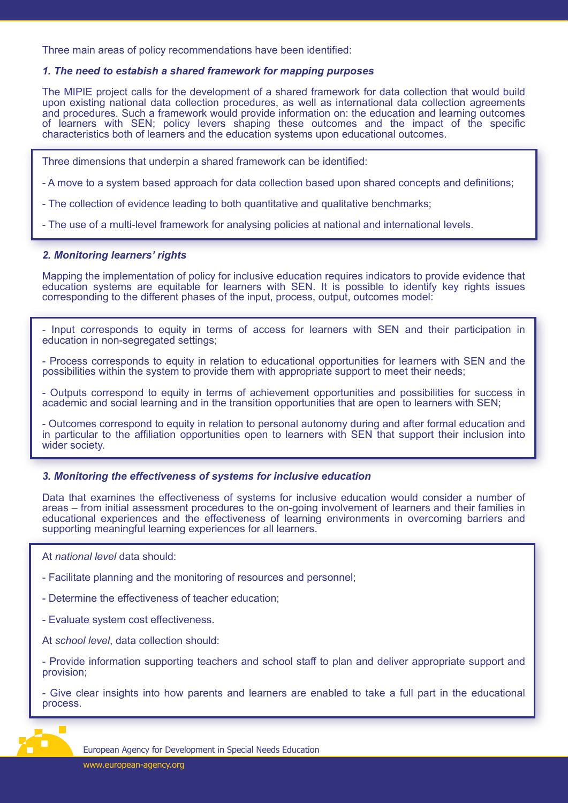Three main areas of policy recommendations have been identified:

#### *1. The need to estabish a shared framework for mapping purposes*

The MIPIE project calls for the development of a shared framework for data collection that would build upon existing national data collection procedures, as well as international data collection agreements and procedures. Such a framework would provide information on: the education and learning outcomes of learners with SEN; policy levers shaping these outcomes and the impact of the specific characteristics both of learners and the education systems upon educational outcomes.

- Three dimensions that underpin a shared framework can be identified:
- A move to a system based approach for data collection based upon shared concepts and definitions;
- The collection of evidence leading to both quantitative and qualitative benchmarks;

- The use of a multi-level framework for analysing policies at national and international levels.

#### *2. Monitoring learners' rights*

Mapping the implementation of policy for inclusive education requires indicators to provide evidence that education systems are equitable for learners with SEN. It is possible to identify key rights issues corresponding to the different phases of the input, process, output, outcomes model:

- Input corresponds to equity in terms of access for learners with SEN and their participation in education in non-segregated settings;

- Process corresponds to equity in relation to educational opportunities for learners with SEN and the possibilities within the system to provide them with appropriate support to meet their needs;

- Outputs correspond to equity in terms of achievement opportunities and possibilities for success in academic and social learning and in the transition opportunities that are open to learners with SEN;

- Outcomes correspond to equity in relation to personal autonomy during and after formal education and in particular to the affiliation opportunities open to learners with SEN that support their inclusion into wider society.

### *3. Monitoring the effectiveness of systems for inclusive education*

Data that examines the effectiveness of systems for inclusive education would consider a number of areas – from initial assessment procedures to the on-going involvement of learners and their families in educational experiences and the effectiveness of learning environments in overcoming barriers and supporting meaningful learning experiences for all learners.

At *national level* data should:

- Facilitate planning and the monitoring of resources and personnel;

- Determine the effectiveness of teacher education;

- Evaluate system cost effectiveness.

At *school level*, data collection should:

- Provide information supporting teachers and school staff to plan and deliver appropriate support and provision;

- Give clear insights into how parents and learners are enabled to take a full part in the educational process.